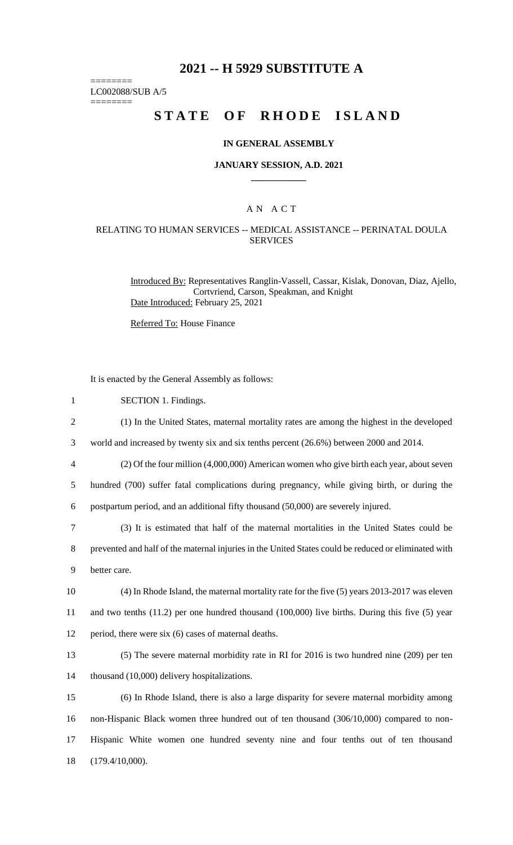## **2021 -- H 5929 SUBSTITUTE A**

LC002088/SUB A/5

========

========

# **STATE OF RHODE ISLAND**

#### **IN GENERAL ASSEMBLY**

#### **JANUARY SESSION, A.D. 2021 \_\_\_\_\_\_\_\_\_\_\_\_**

### A N A C T

#### RELATING TO HUMAN SERVICES -- MEDICAL ASSISTANCE -- PERINATAL DOULA **SERVICES**

Introduced By: Representatives Ranglin-Vassell, Cassar, Kislak, Donovan, Diaz, Ajello, Cortvriend, Carson, Speakman, and Knight Date Introduced: February 25, 2021

Referred To: House Finance

It is enacted by the General Assembly as follows:

1 SECTION 1. Findings.

| ∼ | (1) In the United States, maternal mortality rates are among the highest in the developed |  |  |  |  |  |
|---|-------------------------------------------------------------------------------------------|--|--|--|--|--|
|   |                                                                                           |  |  |  |  |  |

3 world and increased by twenty six and six tenths percent (26.6%) between 2000 and 2014.

4 (2) Of the four million (4,000,000) American women who give birth each year, about seven

5 hundred (700) suffer fatal complications during pregnancy, while giving birth, or during the 6 postpartum period, and an additional fifty thousand (50,000) are severely injured.

7 (3) It is estimated that half of the maternal mortalities in the United States could be

8 prevented and half of the maternal injuries in the United States could be reduced or eliminated with 9 better care.

10 (4) In Rhode Island, the maternal mortality rate for the five (5) years 2013-2017 was eleven 11 and two tenths (11.2) per one hundred thousand (100,000) live births. During this five (5) year 12 period, there were six (6) cases of maternal deaths.

13 (5) The severe maternal morbidity rate in RI for 2016 is two hundred nine (209) per ten 14 thousand (10,000) delivery hospitalizations.

 (6) In Rhode Island, there is also a large disparity for severe maternal morbidity among non-Hispanic Black women three hundred out of ten thousand (306/10,000) compared to non- Hispanic White women one hundred seventy nine and four tenths out of ten thousand (179.4/10,000).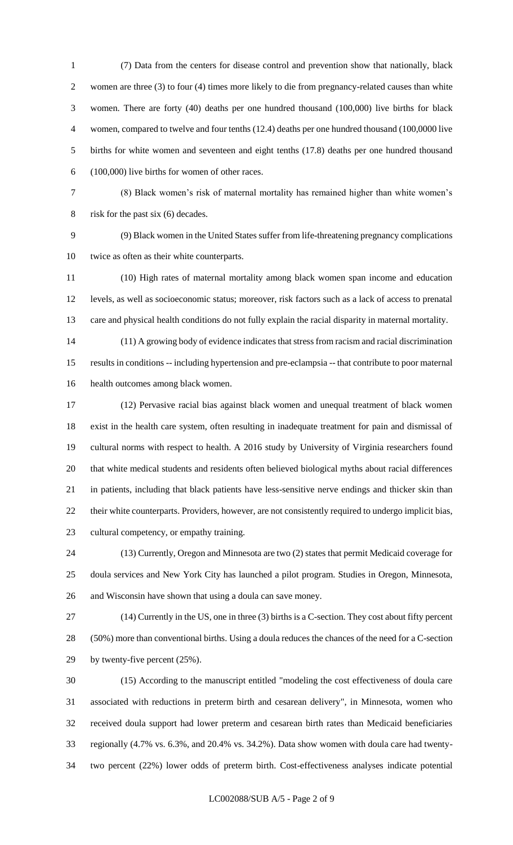(7) Data from the centers for disease control and prevention show that nationally, black women are three (3) to four (4) times more likely to die from pregnancy-related causes than white women. There are forty (40) deaths per one hundred thousand (100,000) live births for black women, compared to twelve and four tenths (12.4) deaths per one hundred thousand (100,0000 live births for white women and seventeen and eight tenths (17.8) deaths per one hundred thousand (100,000) live births for women of other races.

 (8) Black women's risk of maternal mortality has remained higher than white women's 8 risk for the past six (6) decades.

 (9) Black women in the United States suffer from life-threatening pregnancy complications twice as often as their white counterparts.

 (10) High rates of maternal mortality among black women span income and education levels, as well as socioeconomic status; moreover, risk factors such as a lack of access to prenatal care and physical health conditions do not fully explain the racial disparity in maternal mortality.

 (11) A growing body of evidence indicates that stress from racism and racial discrimination results in conditions -- including hypertension and pre-eclampsia -- that contribute to poor maternal health outcomes among black women.

 (12) Pervasive racial bias against black women and unequal treatment of black women exist in the health care system, often resulting in inadequate treatment for pain and dismissal of cultural norms with respect to health. A 2016 study by University of Virginia researchers found that white medical students and residents often believed biological myths about racial differences in patients, including that black patients have less-sensitive nerve endings and thicker skin than their white counterparts. Providers, however, are not consistently required to undergo implicit bias, cultural competency, or empathy training.

 (13) Currently, Oregon and Minnesota are two (2) states that permit Medicaid coverage for doula services and New York City has launched a pilot program. Studies in Oregon, Minnesota, and Wisconsin have shown that using a doula can save money.

 (14) Currently in the US, one in three (3) births is a C-section. They cost about fifty percent (50%) more than conventional births. Using a doula reduces the chances of the need for a C-section by twenty-five percent (25%).

 (15) According to the manuscript entitled "modeling the cost effectiveness of doula care associated with reductions in preterm birth and cesarean delivery", in Minnesota, women who received doula support had lower preterm and cesarean birth rates than Medicaid beneficiaries regionally (4.7% vs. 6.3%, and 20.4% vs. 34.2%). Data show women with doula care had twenty-two percent (22%) lower odds of preterm birth. Cost-effectiveness analyses indicate potential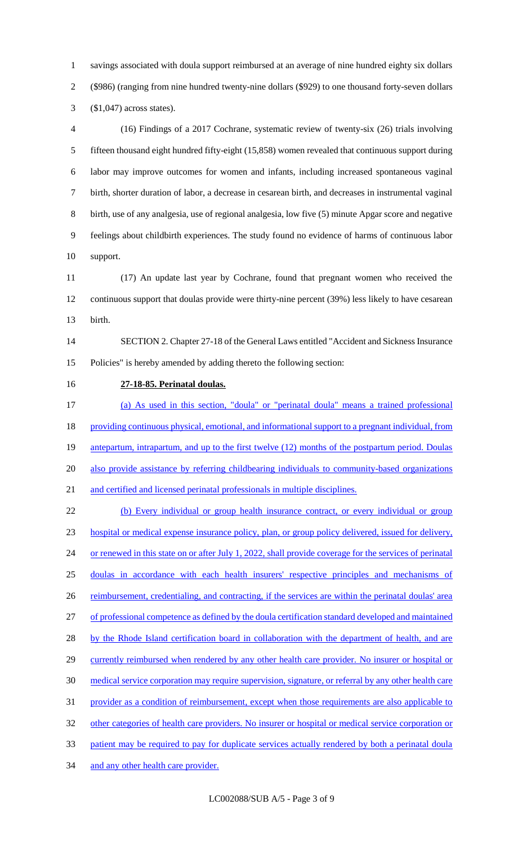savings associated with doula support reimbursed at an average of nine hundred eighty six dollars (\$986) (ranging from nine hundred twenty-nine dollars (\$929) to one thousand forty-seven dollars (\$1,047) across states).

 (16) Findings of a 2017 Cochrane, systematic review of twenty-six (26) trials involving fifteen thousand eight hundred fifty-eight (15,858) women revealed that continuous support during labor may improve outcomes for women and infants, including increased spontaneous vaginal birth, shorter duration of labor, a decrease in cesarean birth, and decreases in instrumental vaginal birth, use of any analgesia, use of regional analgesia, low five (5) minute Apgar score and negative feelings about childbirth experiences. The study found no evidence of harms of continuous labor support.

 (17) An update last year by Cochrane, found that pregnant women who received the continuous support that doulas provide were thirty-nine percent (39%) less likely to have cesarean birth.

 SECTION 2. Chapter 27-18 of the General Laws entitled "Accident and Sickness Insurance Policies" is hereby amended by adding thereto the following section:

**27-18-85. Perinatal doulas.** 

 (a) As used in this section, "doula" or "perinatal doula" means a trained professional 18 providing continuous physical, emotional, and informational support to a pregnant individual, from 19 antepartum, intrapartum, and up to the first twelve (12) months of the postpartum period. Doulas 20 also provide assistance by referring childbearing individuals to community-based organizations and certified and licensed perinatal professionals in multiple disciplines.

 (b) Every individual or group health insurance contract, or every individual or group hospital or medical expense insurance policy, plan, or group policy delivered, issued for delivery, 24 or renewed in this state on or after July 1, 2022, shall provide coverage for the services of perinatal doulas in accordance with each health insurers' respective principles and mechanisms of 26 reimbursement, credentialing, and contracting, if the services are within the perinatal doulas' area of professional competence as defined by the doula certification standard developed and maintained 28 by the Rhode Island certification board in collaboration with the department of health, and are 29 currently reimbursed when rendered by any other health care provider. No insurer or hospital or medical service corporation may require supervision, signature, or referral by any other health care provider as a condition of reimbursement, except when those requirements are also applicable to other categories of health care providers. No insurer or hospital or medical service corporation or 33 patient may be required to pay for duplicate services actually rendered by both a perinatal doula 34 and any other health care provider.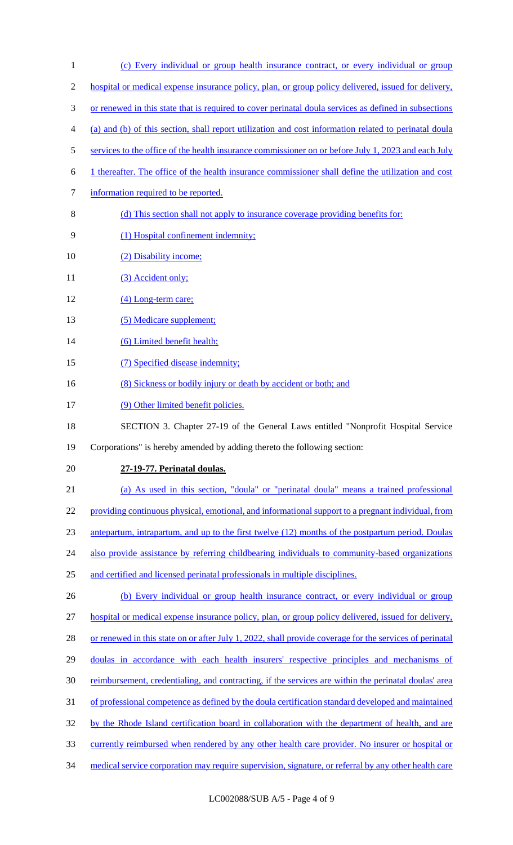1 (c) Every individual or group health insurance contract, or every individual or group 2 hospital or medical expense insurance policy, plan, or group policy delivered, issued for delivery, 3 or renewed in this state that is required to cover perinatal doula services as defined in subsections 4 (a) and (b) of this section, shall report utilization and cost information related to perinatal doula 5 services to the office of the health insurance commissioner on or before July 1, 2023 and each July 6 1 thereafter. The office of the health insurance commissioner shall define the utilization and cost 7 information required to be reported. 8 (d) This section shall not apply to insurance coverage providing benefits for: 9 (1) Hospital confinement indemnity; 10 (2) Disability income; 11 (3) Accident only; 12 (4) Long-term care; 13 (5) Medicare supplement; 14 (6) Limited benefit health; 15 (7) Specified disease indemnity; 16 (8) Sickness or bodily injury or death by accident or both; and 17 (9) Other limited benefit policies. 18 SECTION 3. Chapter 27-19 of the General Laws entitled "Nonprofit Hospital Service 19 Corporations" is hereby amended by adding thereto the following section: 20 **27-19-77. Perinatal doulas.**  21 (a) As used in this section, "doula" or "perinatal doula" means a trained professional 22 providing continuous physical, emotional, and informational support to a pregnant individual, from 23 antepartum, intrapartum, and up to the first twelve (12) months of the postpartum period. Doulas 24 also provide assistance by referring childbearing individuals to community-based organizations 25 and certified and licensed perinatal professionals in multiple disciplines. 26 (b) Every individual or group health insurance contract, or every individual or group 27 hospital or medical expense insurance policy, plan, or group policy delivered, issued for delivery, 28 or renewed in this state on or after July 1, 2022, shall provide coverage for the services of perinatal 29 doulas in accordance with each health insurers' respective principles and mechanisms of 30 reimbursement, credentialing, and contracting, if the services are within the perinatal doulas' area 31 of professional competence as defined by the doula certification standard developed and maintained 32 by the Rhode Island certification board in collaboration with the department of health, and are 33 currently reimbursed when rendered by any other health care provider. No insurer or hospital or 34 medical service corporation may require supervision, signature, or referral by any other health care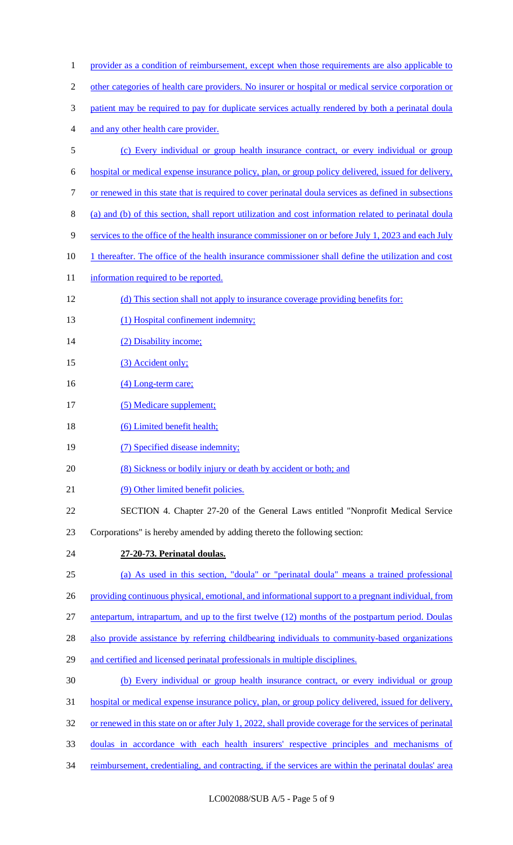| $\mathbf{1}$   | provider as a condition of reimbursement, except when those requirements are also applicable to         |
|----------------|---------------------------------------------------------------------------------------------------------|
| $\overline{c}$ | other categories of health care providers. No insurer or hospital or medical service corporation or     |
| 3              | patient may be required to pay for duplicate services actually rendered by both a perinatal doular      |
| 4              | and any other health care provider.                                                                     |
| 5              | (c) Every individual or group health insurance contract, or every individual or group                   |
| 6              | hospital or medical expense insurance policy, plan, or group policy delivered, issued for delivery,     |
| 7              | or renewed in this state that is required to cover perinatal doula services as defined in subsections   |
| 8              | (a) and (b) of this section, shall report utilization and cost information related to perinatal doula   |
| 9              | services to the office of the health insurance commissioner on or before July 1, 2023 and each July     |
| 10             | 1 thereafter. The office of the health insurance commissioner shall define the utilization and cost     |
| 11             | information required to be reported.                                                                    |
| 12             | (d) This section shall not apply to insurance coverage providing benefits for:                          |
| 13             | (1) Hospital confinement indemnity;                                                                     |
| 14             | (2) Disability income;                                                                                  |
| 15             | (3) Accident only;                                                                                      |
| 16             | (4) Long-term care;                                                                                     |
| 17             | (5) Medicare supplement;                                                                                |
| 18             | (6) Limited benefit health;                                                                             |
| 19             | (7) Specified disease indemnity;                                                                        |
| 20             | (8) Sickness or bodily injury or death by accident or both; and                                         |
| 21             | (9) Other limited benefit policies.                                                                     |
| 22             | SECTION 4. Chapter 27-20 of the General Laws entitled "Nonprofit Medical Service                        |
| 23             | Corporations" is hereby amended by adding thereto the following section:                                |
| 24             | 27-20-73. Perinatal doulas.                                                                             |
| 25             | (a) As used in this section, "doula" or "perinatal doula" means a trained professional                  |
| 26             | providing continuous physical, emotional, and informational support to a pregnant individual, from      |
| 27             | antepartum, intrapartum, and up to the first twelve (12) months of the postpartum period. Doulas        |
| 28             | also provide assistance by referring childbearing individuals to community-based organizations          |
| 29             | and certified and licensed perinatal professionals in multiple disciplines.                             |
| 30             | (b) Every individual or group health insurance contract, or every individual or group                   |
| 31             | hospital or medical expense insurance policy, plan, or group policy delivered, issued for delivery,     |
| 32             | or renewed in this state on or after July 1, 2022, shall provide coverage for the services of perinatal |
| 33             | doulas in accordance with each health insurers' respective principles and mechanisms of                 |
| 34             | reimbursement, credentialing, and contracting, if the services are within the perinatal doulas' area    |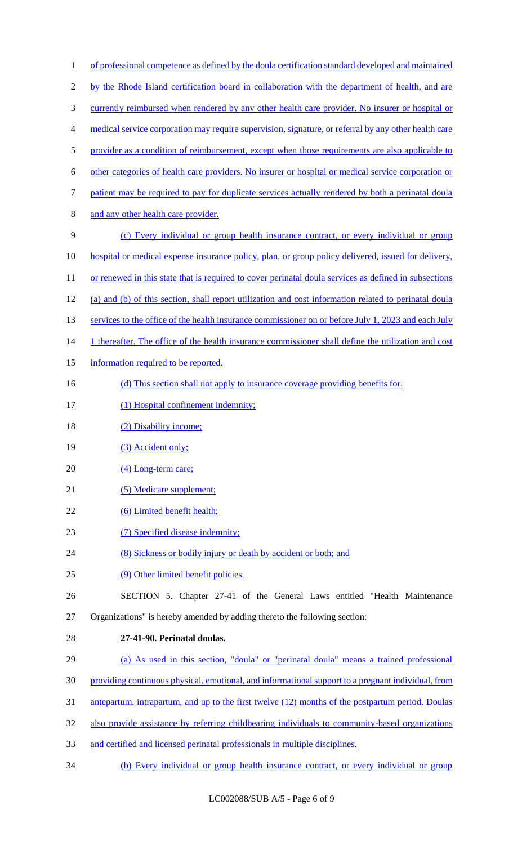| $\mathbf{1}$   | of professional competence as defined by the doula certification standard developed and maintained     |
|----------------|--------------------------------------------------------------------------------------------------------|
| $\mathfrak{2}$ | by the Rhode Island certification board in collaboration with the department of health, and are        |
| $\mathfrak{Z}$ | currently reimbursed when rendered by any other health care provider. No insurer or hospital or        |
| 4              | medical service corporation may require supervision, signature, or referral by any other health care   |
| 5              | provider as a condition of reimbursement, except when those requirements are also applicable to        |
| 6              | other categories of health care providers. No insurer or hospital or medical service corporation or    |
| 7              | patient may be required to pay for duplicate services actually rendered by both a perinatal doular     |
| $8\,$          | and any other health care provider.                                                                    |
| 9              | (c) Every individual or group health insurance contract, or every individual or group                  |
| 10             | hospital or medical expense insurance policy, plan, or group policy delivered, issued for delivery,    |
| 11             | or renewed in this state that is required to cover perinatal doula services as defined in subsections  |
| 12             | (a) and (b) of this section, shall report utilization and cost information related to perinatal doular |
| 13             | services to the office of the health insurance commissioner on or before July 1, 2023 and each July    |
| 14             | 1 thereafter. The office of the health insurance commissioner shall define the utilization and cost    |
| 15             | information required to be reported.                                                                   |
| 16             | (d) This section shall not apply to insurance coverage providing benefits for:                         |
| 17             | (1) Hospital confinement indemnity;                                                                    |
| 18             | (2) Disability income;                                                                                 |
| 19             | (3) Accident only;                                                                                     |
| 20             | (4) Long-term care;                                                                                    |
| 21             | (5) Medicare supplement;                                                                               |
| 22             | (6) Limited benefit health;                                                                            |
| 23             | (7) Specified disease indemnity;                                                                       |
| 24             | (8) Sickness or bodily injury or death by accident or both; and                                        |
| 25             | (9) Other limited benefit policies.                                                                    |
| 26             | SECTION 5. Chapter 27-41 of the General Laws entitled "Health Maintenance                              |
| 27             | Organizations" is hereby amended by adding thereto the following section:                              |
| 28             | 27-41-90. Perinatal doulas.                                                                            |
| 29             | (a) As used in this section, "doula" or "perinatal doula" means a trained professional                 |
| 30             | providing continuous physical, emotional, and informational support to a pregnant individual, from     |
| 31             | antepartum, intrapartum, and up to the first twelve (12) months of the postpartum period. Doulas       |
| 32             | also provide assistance by referring childbearing individuals to community-based organizations         |
| 33             | and certified and licensed perinatal professionals in multiple disciplines.                            |
| 34             | (b) Every individual or group health insurance contract, or every individual or group                  |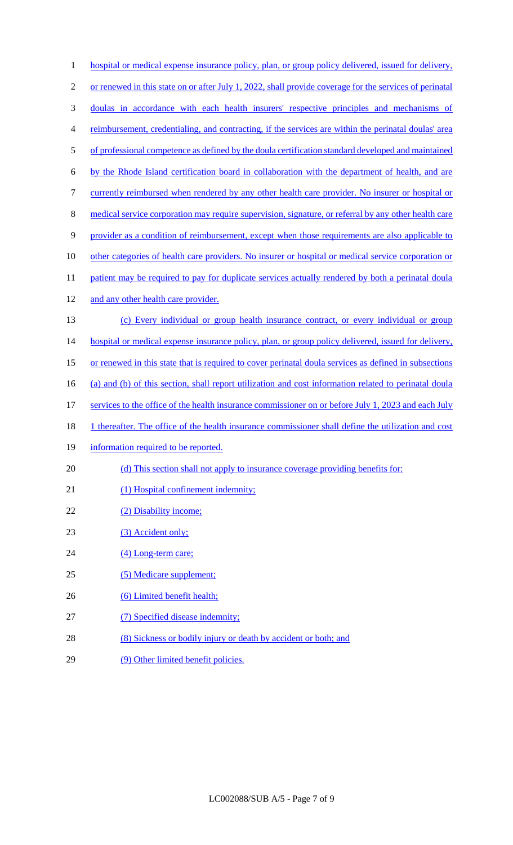| $\mathbf{1}$   | hospital or medical expense insurance policy, plan, or group policy delivered, issued for delivery,        |
|----------------|------------------------------------------------------------------------------------------------------------|
| $\mathfrak{2}$ | or renewed in this state on or after July 1, 2022, shall provide coverage for the services of perinatal    |
| 3              | doulas in accordance with each health insurers' respective principles and mechanisms of                    |
| 4              | reimbursement, credentialing, and contracting, if the services are within the perinatal doulas' area       |
| 5              | of professional competence as defined by the doula certification standard developed and maintained         |
| 6              | by the Rhode Island certification board in collaboration with the department of health, and are            |
| $\tau$         | currently reimbursed when rendered by any other health care provider. No insurer or hospital or            |
| $8\,$          | medical service corporation may require supervision, signature, or referral by any other health care       |
| 9              | provider as a condition of reimbursement, except when those requirements are also applicable to            |
| 10             | other categories of health care providers. No insurer or hospital or medical service corporation or        |
| 11             | patient may be required to pay for duplicate services actually rendered by both a perinatal doular         |
| 12             | and any other health care provider.                                                                        |
| 13             | (c) Every individual or group health insurance contract, or every individual or group                      |
| 14             | hospital or medical expense insurance policy, plan, or group policy delivered, issued for delivery,        |
| 15             | or renewed in this state that is required to cover perinatal doula services as defined in subsections      |
| 16             | (a) and (b) of this section, shall report utilization and cost information related to perinatal doula      |
| 17             | services to the office of the health insurance commissioner on or before July 1, 2023 and each July        |
| 18             | <u>1 thereafter. The office of the health insurance commissioner shall define the utilization and cost</u> |
| 19             | information required to be reported.                                                                       |
| 20             | (d) This section shall not apply to insurance coverage providing benefits for:                             |
| 21             | (1) Hospital confinement indemnity;                                                                        |
| 22             | (2) Disability income;                                                                                     |
| 23             | (3) Accident only;                                                                                         |
| 24             | (4) Long-term care;                                                                                        |
| 25             | (5) Medicare supplement;                                                                                   |
| 26             | (6) Limited benefit health;                                                                                |
| 27             | (7) Specified disease indemnity;                                                                           |
| 28             | (8) Sickness or bodily injury or death by accident or both; and                                            |
| 29             | (9) Other limited benefit policies.                                                                        |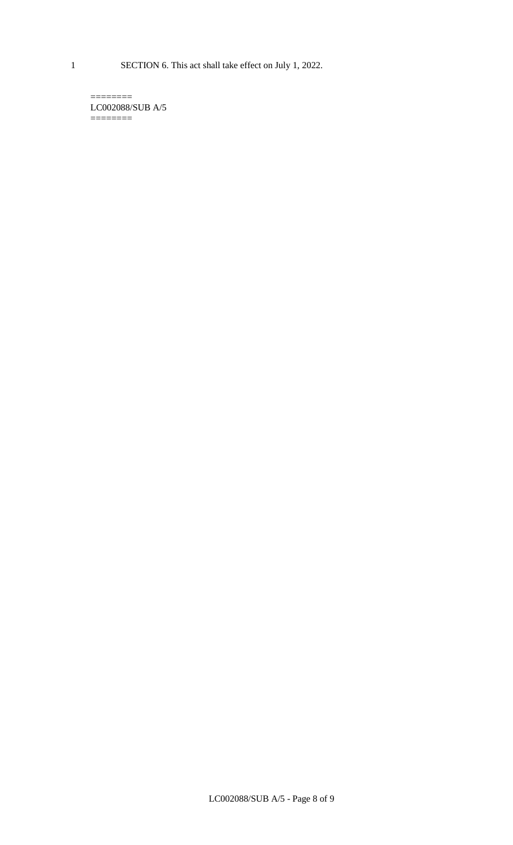1 SECTION 6. This act shall take effect on July 1, 2022.

 $=$ LC002088/SUB A/5  $=$